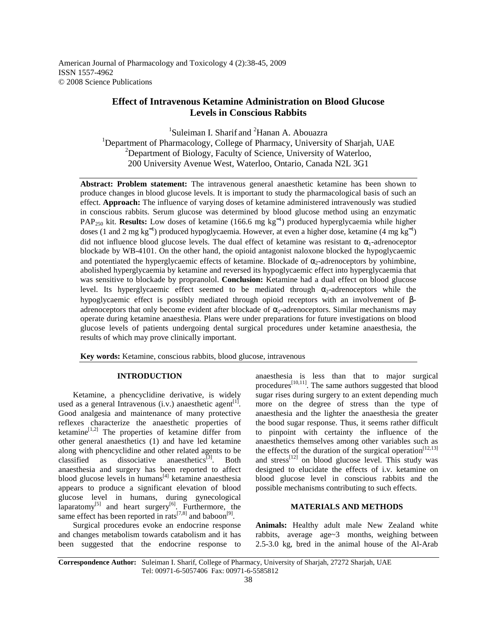American Journal of Pharmacology and Toxicology 4 (2):38-45, 2009 ISSN 1557-4962 © 2008 Science Publications

# **Effect of Intravenous Ketamine Administration on Blood Glucose Levels in Conscious Rabbits**

<sup>1</sup>Suleiman I. Sharif and <sup>2</sup>Hanan A. Abouazra <sup>1</sup>Department of Pharmacology, College of Pharmacy, University of Sharjah, UAE  $2$ Department of Biology, Faculty of Science, University of Waterloo, 200 University Avenue West, Waterloo, Ontario, Canada N2L 3G1

**Abstract: Problem statement:** The intravenous general anaesthetic ketamine has been shown to produce changes in blood glucose levels. It is important to study the pharmacological basis of such an effect. **Approach:** The influence of varying doses of ketamine administered intravenously was studied in conscious rabbits. Serum glucose was determined by blood glucose method using an enzymatic PAP<sub>250</sub> kit. **Results:** Low doses of ketamine (166.6 mg kg<sup>-1</sup>) produced hyperglycaemia while higher doses (1 and 2 mg kg<sup>-1</sup>) produced hypoglycaemia. However, at even a higher dose, ketamine (4 mg kg<sup>-1</sup>) did not influence blood glucose levels. The dual effect of ketamine was resistant to  $\alpha_1$ -adrenoceptor blockade by WB-4101. On the other hand, the opioid antagonist naloxone blocked the hypoglycaemic and potentiated the hyperglycaemic effects of ketamine. Blockade of  $\alpha$ -adrenoceptors by yohimbine, abolished hyperglycaemia by ketamine and reversed its hypoglycaemic effect into hyperglycaemia that was sensitive to blockade by propranolol. **Conclusion:** Ketamine had a dual effect on blood glucose level. Its hyperglycaemic effect seemed to be mediated through  $\alpha_2$ -adrenoceptors while the hypoglycaemic effect is possibly mediated through opioid receptors with an involvement of βadrenoceptors that only become evident after blockade of  $\alpha_2$ -adrenoceptors. Similar mechanisms may operate during ketamine anaesthesia. Plans were under preparations for future investigations on blood glucose levels of patients undergoing dental surgical procedures under ketamine anaesthesia, the results of which may prove clinically important.

**Key words:** Ketamine, conscious rabbits, blood glucose, intravenous

# **INTRODUCTION**

 Ketamine, a phencyclidine derivative, is widely used as a general Intravenous (i.v.) anaesthetic agent<sup>[1]</sup>. Good analgesia and maintenance of many protective reflexes characterize the anaesthetic properties of ketamine $[1,2]$  The properties of ketamine differ from other general anaesthetics (1) and have led ketamine along with phencyclidine and other related agents to be classified as dissociative anaesthetics<sup>[3]</sup>. Both anaesthesia and surgery has been reported to affect blood glucose levels in humans $[4]$  ketamine anaesthesia appears to produce a significant elevation of blood glucose level in humans, during gynecological laparatomy $^{[5]}$  and heart surgery $^{[6]}$ . Furthermore, the same effect has been reported in rats<sup>[7,8]</sup> and baboon<sup>[9]</sup>.

 Surgical procedures evoke an endocrine response and changes metabolism towards catabolism and it has been suggested that the endocrine response to anaesthesia is less than that to major surgical procedures<sup>[10,11]</sup>. The same authors suggested that blood sugar rises during surgery to an extent depending much more on the degree of stress than the type of anaesthesia and the lighter the anaesthesia the greater the bood sugar response. Thus, it seems rather difficult to pinpoint with certainty the influence of the anaesthetics themselves among other variables such as the effects of the duration of the surgical operation<sup>[12,13]</sup> and stress $^{[12]}$  on blood glucose level. This study was designed to elucidate the effects of i.v. ketamine on blood glucose level in conscious rabbits and the possible mechanisms contributing to such effects.

# **MATERIALS AND METHODS**

**Animals:** Healthy adult male New Zealand white rabbits, average age~3 months, weighing between 2.5-3.0 kg, bred in the animal house of the Al-Arab

**Correspondence Author:** Suleiman I. Sharif, College of Pharmacy, University of Sharjah, 27272 Sharjah, UAE Tel: 00971-6-5057406 Fax: 00971-6-5585812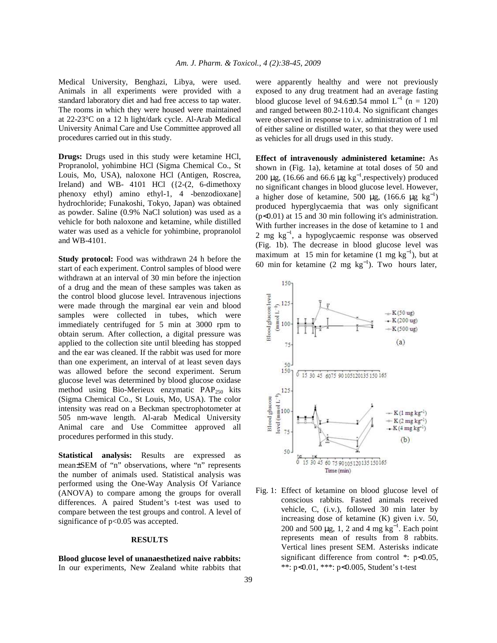Medical University, Benghazi, Libya, were used. Animals in all experiments were provided with a standard laboratory diet and had free access to tap water. The rooms in which they were housed were maintained at 22-23°C on a 12 h light/dark cycle. Al-Arab Medical University Animal Care and Use Committee approved all procedures carried out in this study.

**Drugs:** Drugs used in this study were ketamine HCl, Propranolol, yohimbine HCl (Sigma Chemical Co., St Louis, Mo, USA), naloxone HCl (Antigen, Roscrea, Ireland) and WB- 4101 HCl  $({2-(2, 6\text{-dimethoxy}})$ phenoxy ethyl) amino ethyl-1, 4 -benzodioxane] hydrochloride; Funakoshi, Tokyo, Japan) was obtained as powder. Saline (0.9% NaCl solution) was used as a vehicle for both naloxone and ketamine, while distilled water was used as a vehicle for yohimbine, propranolol and WB-4101.

**Study protocol:** Food was withdrawn 24 h before the start of each experiment. Control samples of blood were withdrawn at an interval of 30 min before the injection of a drug and the mean of these samples was taken as the control blood glucose level. Intravenous injections were made through the marginal ear vein and blood samples were collected in tubes, which were immediately centrifuged for 5 min at 3000 rpm to obtain serum. After collection, a digital pressure was applied to the collection site until bleeding has stopped and the ear was cleaned. If the rabbit was used for more than one experiment, an interval of at least seven days was allowed before the second experiment. Serum glucose level was determined by blood glucose oxidase method using Bio-Merieux enzymatic  $PAP<sub>250</sub>$  kits (Sigma Chemical Co., St Louis, Mo, USA). The color intensity was read on a Beckman spectrophotometer at 505 nm-wave length. Al-arab Medical University Animal care and Use Committee approved all procedures performed in this study.

**Statistical analysis:** Results are expressed as mean±SEM of "n" observations, where "n" represents the number of animals used. Statistical analysis was performed using the One-Way Analysis Of Variance (ANOVA) to compare among the groups for overall differences. A paired Student's t-test was used to compare between the test groups and control. A level of significance of  $p<0.05$  was accepted.

## **RESULTS**

**Blood glucose level of unanaesthetized naive rabbits:**  In our experiments, New Zealand white rabbits that were apparently healthy and were not previously exposed to any drug treatment had an average fasting blood glucose level of 94.6±0.54 mmol  $L^{-1}$  (n = 120) and ranged between 80.2-110.4. No significant changes were observed in response to i.v. administration of 1 ml of either saline or distilled water, so that they were used as vehicles for all drugs used in this study.

**Effect of intravenously administered ketamine:** As shown in (Fig. 1a), ketamine at total doses of 50 and 200 µg, (16.66 and 66.6 µg kg<sup>-1</sup>, respectively) produced no significant changes in blood glucose level. However, a higher dose of ketamine, 500 µg, (166.6 µg kg<sup>-1</sup>) produced hyperglycaemia that was only significant (p<0.01) at 15 and 30 min following it's administration. With further increases in the dose of ketamine to 1 and 2 mg kg<sup>-1</sup>, a hypoglycaemic response was observed (Fig. 1b). The decrease in blood glucose level was maximum at 15 min for ketamine  $(1 \text{ mg kg}^{-1})$ , but at 60 min for ketamine  $(2 \text{ mg kg}^{-1})$ . Two hours later,



Fig. 1: Effect of ketamine on blood glucose level of conscious rabbits. Fasted animals received vehicle, C, (i.v.), followed 30 min later by increasing dose of ketamine (K) given i.v. 50, 200 and 500  $\mu$ g, 1, 2 and 4 mg kg<sup>-1</sup>. Each point represents mean of results from 8 rabbits. Vertical lines present SEM. Asterisks indicate significant difference from control \*: p<0.05, \*\*: p<0.01, \*\*\*: p<0.005, Student's t-test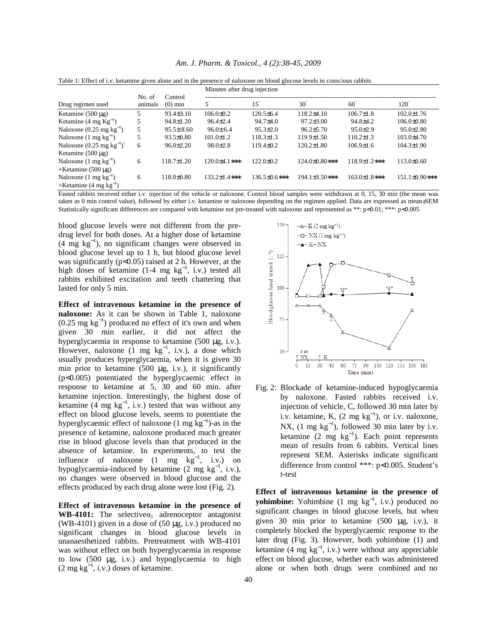|                                          |                   |                      | Minutes after drug injection |                  |                   |                 |                  |
|------------------------------------------|-------------------|----------------------|------------------------------|------------------|-------------------|-----------------|------------------|
| Drug regimen used                        | No. of<br>animals | Control<br>$(0)$ min |                              | 15               | $30^{\circ}$      | 60              | 120              |
| Ketamine $(500 \mu g)$                   | 5.                | $93.4 \pm 3.10$      | $106.0 \pm 0.2$              | $120.5 \pm 6.4$  | $118.2\pm4.10$    | $106.7 \pm 1.8$ | $102.0 \pm 1.76$ |
| Ketamine $(4 \text{ mg Kg}^{-1})$        | 5                 | $94.8 \pm 1.20$      | $96.4 \pm 2.4$               | $94.7 + 4.0$     | $97.2 \pm 3.00$   | 94.8±4.2        | $106.0 \pm 0.80$ |
| Naloxone $(0.25 \text{ mg kg}^{-1})$     | 5                 | $95.5 \pm 8.60$      | $96.0 \pm 6.4$               | $95.3 \pm 2.0$   | $96.2 \pm 5.70$   | $95.0 \pm 2.9$  | $95.0 \pm 2.80$  |
| Naloxone $(1 \text{ mg kg}^{-1})$        | 5                 | $93.5 \pm 0.80$      | $101.0 \pm 1.2$              | $118.3 \pm 1.3$  | $119.9 \pm 1.50$  | $110.2 \pm 1.3$ | $103.0 \pm 4.70$ |
| Naloxone $(0.25 \text{ mg kg}^{-1})^{+}$ | 6                 | $96.0 \pm 2.20$      | $98.0 \pm 2.8$               | $119.4 \pm 0.2$  | $120.2 \pm 1.80$  | $106.9 \pm 1.6$ | $104.3 \pm 1.90$ |
| Ketamine $(500 \mu g)$                   |                   |                      |                              |                  |                   |                 |                  |
| Naloxone $(1 \text{ mg kg}^{-1})$        | 6                 | $118.7 \pm 1.20$     | $120.0+4.1***$               | $122.0 \pm 0.2$  | $124.0\pm0.80***$ | 118.9±1.2***    | $113.0 \pm 0.60$ |
| +Ketamine $(500 \mu$ g)                  |                   |                      |                              |                  |                   |                 |                  |
| Naloxone $(1 \text{ mg kg}^{-1})$        | 6                 | 118.0±0.80           | $133.2 \pm 1.4$ ***          | $136.5\pm0.6***$ | 194.1±3.50***     | 163.0±1.8***    | 151.1±0.90***    |
| +Ketamine $(4 \text{ mg kg}^{-1})$       |                   |                      |                              |                  |                   |                 |                  |

*Am. J. Pharm. & Toxicol., 4 (2):38-45, 2009*

Table 1: Effect of i.v. ketamine given alone and in the presence of naloxone on blood glucose levels in conscious rabbits

Fasted rabbits received either i.v. injection of the vehicle or naloxone. Control blood samples were withdrawn at 0, 15, 30 min (the mean was taken as 0 min control value), followed by either i.v. ketamine or naloxone depending on the regimen applied. Data are expressed as mean±SEM Statistically significant differences are compared with ketamine not pre-treated with naloxone and represented as \*\*: p<0.01; \*\*\*: p<0.005

blood glucose levels were not different from the predrug level for both doses. At a higher dose of ketamine (4 mg kg<sup>−</sup><sup>1</sup> ), no significant changes were observed in blood glucose level up to 1 h, but blood glucose level was significantly ( $p<0.05$ ) raised at 2 h. However, at the high doses of ketamine  $(1-4 \text{ mg kg}^{-1}, i.v.)$  tested all rabbits exhibited excitation and teeth chattering that lasted for only 5 min.

**Effect of intravenous ketamine in the presence of naloxone:** As it can be shown in Table 1, naloxone  $(0.25 \text{ mg kg}^{-1})$  produced no effect of it's own and when given 30 min earlier, it did not affect the hyperglycaemia in response to ketamine (500 µg, i.v.). However, naloxone  $(1 \text{ mg } \text{kg}^{-1}, \text{ i.v.})$ , a dose which usually produces hyperglycaemia, when it is given 30 min prior to ketamine  $(500 \mu g, i.v.)$ , it significantly (p<0.005) potentiated the hyperglycaemic effect in response to ketamine at 5, 30 and 60 min. after ketamine injection. Interestingly, the highest dose of ketamine  $(4 \text{ mg kg}^{-1}, i.v.)$  tested that was without any effect on blood glucose levels, seems to potentiate the hyperglycaemic effect of naloxone (1 mg  $\text{kg}^{-1}$ )-as in the presence of ketamine, naloxone produced much greater rise in blood glucose levels than that produced in the absence of ketamine. In experiments, to test the influence of naloxone  $(1 \text{ mg } \text{kg}^{-1}, \text{ i.v.})$  on hypoglycaemia-induced by ketamine  $(2 \text{ mg kg}^{-1}, i.v.),$ no changes were observed in blood glucose and the effects produced by each drug alone were lost (Fig. 2).

**Effect of intravenous ketamine in the presence of WB-4101:** The selective $\alpha_1$  adrenoceptor antagonist (WB-4101) given in a dose of  $(50 \mu g, i.v.)$  produced no significant changes in blood glucose levels in unanaesthetized rabbits. Pretreatment with WB-4101 was without effect on both hyperglycaemia in response to low (500 µg, i.v.) and hypoglycaemia to high  $(2 \text{ mg kg}^{-1}, i.v.)$  doses of ketamine.



Fig. 2: Blockade of ketamine-induced hypoglycaemia by naloxone. Fasted rabbits received i.v. injection of vehicle, C, followed 30 min later by i.v. ketamine, K,  $(2 \text{ mg kg}^{-1})$ , or i.v. naloxone, NX,  $(1 \text{ mg kg}^{-1})$ , followed 30 min later by i.v. ketamine  $(2 \text{ mg kg}^{-1})$ . Each point represents mean of results from 6 rabbits. Vertical lines represent SEM. Asterisks indicate significant difference from control \*\*\*: p<0.005. Student's t-test

**Effect of intravenous ketamine in the presence of yohimbine:** Yohimbine  $(1 \text{ mg kg}^{-1}, i.v.)$  produced no significant changes in blood glucose levels, but when given 30 min prior to ketamine (500 µg, i.v.), it completely blocked the hyperglycaemic response to the later drug (Fig. 3). However, both yohimbine (1) and ketamine  $(4 \text{ mg kg}^{-1}, i.v.)$  were without any appreciable effect on blood glucose, whether each was administered alone or when both drugs were combined and no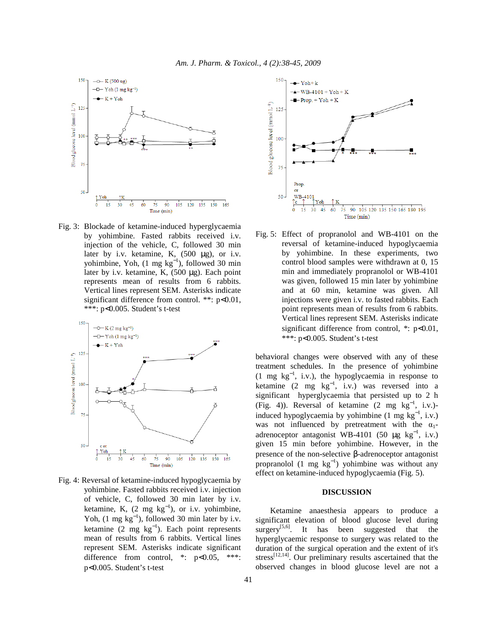

Fig. 3: Blockade of ketamine-induced hyperglycaemia by yohimbine. Fasted rabbits received i.v. injection of the vehicle, C, followed 30 min later by i.v. ketamine, K, (500 µg), or i.v. yohimbine, Yoh,  $(1 \text{ mg kg}^{-1})$ , followed 30 min later by i.v. ketamine, K,  $(500 \mu g)$ . Each point represents mean of results from 6 rabbits. Vertical lines represent SEM. Asterisks indicate significant difference from control. \*\*: p<0.01, \*\*\*: p<0.005. Student's t-test



Fig. 4: Reversal of ketamine-induced hypoglycaemia by yohimbine. Fasted rabbits received i.v. injection of vehicle, C, followed 30 min later by i.v. ketamine, K,  $(2 \text{ mg kg}^{-1})$ , or i.v. yohimbine, Yoh,  $(1 \text{ mg kg}^{-1})$ , followed 30 min later by i.v. ketamine  $(2 \text{ mg kg}^{-1})$ . Each point represents mean of results from 6 rabbits. Vertical lines represent SEM. Asterisks indicate significant difference from control, \*: p<0.05, \*\*\*: p<0.005. Student's t-test



Fig. 5: Effect of propranolol and WB-4101 on the reversal of ketamine-induced hypoglycaemia by yohimbine. In these experiments, two control blood samples were withdrawn at 0, 15 min and immediately propranolol or WB-4101 was given, followed 15 min later by yohimbine and at 60 min, ketamine was given. All injections were given i.v. to fasted rabbits. Each point represents mean of results from 6 rabbits. Vertical lines represent SEM. Asterisks indicate significant difference from control,  $*$ :  $p<0.01$ , \*\*\*: p<0.005. Student's t-test

behavioral changes were observed with any of these treatment schedules. In the presence of yohimbine  $(1 \text{ mg } \text{kg}^{-1}, \text{ i.v.})$ , the hypoglycaemia in response to ketamine  $(2 \text{ mg kg}^{-1}, \text{ i.v.})$  was reversed into a significant hyperglycaemia that persisted up to 2 h (Fig. 4)). Reversal of ketamine  $(2 \text{ mg kg}^{-1}, i.v.)$ induced hypoglycaemia by yohimbine  $(1 \text{ mg kg}^{-1}, i.v.)$ was not influenced by pretreatment with the  $\alpha_1$ adrenoceptor antagonist WB-4101 (50  $\mu$ g kg<sup>-1</sup>, i.v.) given 15 min before yohimbine. However, in the presence of the non-selective β-adrenoceptor antagonist propranolol  $(1 \text{ mg } \text{kg}^{-1})$  yohimbine was without any effect on ketamine-induced hypoglycaemia (Fig. 5).

#### **DISCUSSION**

 Ketamine anaesthesia appears to produce a significant elevation of blood glucose level during surgery<sup>[5,6]</sup>. It has been suggested that the hyperglycaemic response to surgery was related to the duration of the surgical operation and the extent of it's stress<sup>[12,14]</sup>. Our preliminary results ascertained that the observed changes in blood glucose level are not a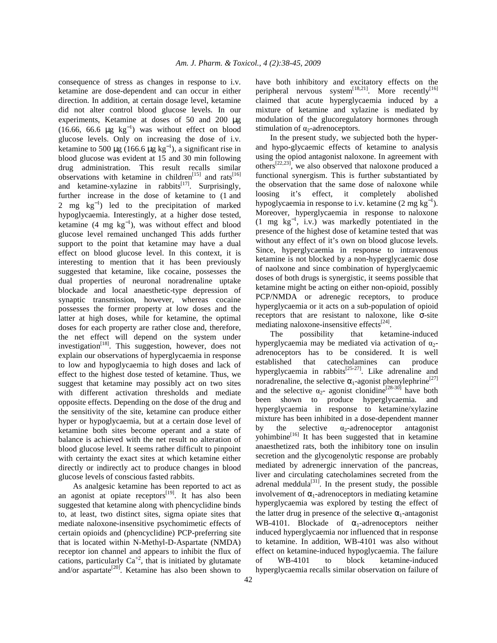consequence of stress as changes in response to i.v. ketamine are dose-dependent and can occur in either direction. In addition, at certain dosage level, ketamine did not alter control blood glucose levels. In our experiments, Ketamine at doses of 50 and 200 µg (16.66, 66.6  $\mu$ g kg<sup>-1</sup>) was without effect on blood glucose levels. Only on increasing the dose of i.v. ketamine to 500 µg (166.6 µg kg<sup>-1</sup>), a significant rise in blood glucose was evident at 15 and 30 min following drug administration. This result recalls similar observations with ketamine in children<sup>[15]</sup> and rats<sup>[16]</sup> and ketamine-xylazine in rabbits<sup>[17]</sup>. Surprisingly, further increase in the dose of ketamine to (1 and 2 mg kg<sup>-1</sup>) led to the precipitation of marked hypoglycaemia. Interestingly, at a higher dose tested, ketamine  $(4 \text{ mg kg}^{-1})$ , was without effect and blood glucose level remained unchanged This adds further support to the point that ketamine may have a dual effect on blood glucose level. In this context, it is interesting to mention that it has been previously suggested that ketamine, like cocaine, possesses the dual properties of neuronal noradrenaline uptake blockade and local anaesthetic-type depression of synaptic transmission, however, whereas cocaine possesses the former property at low doses and the latter at high doses, while for ketamine, the optimal doses for each property are rather close and, therefore, the net effect will depend on the system under investigation $<sup>[18]</sup>$ . This suggestion, however, does not</sup> explain our observations of hyperglycaemia in response to low and hypoglycaemia to high doses and lack of effect to the highest dose tested of ketamine. Thus, we suggest that ketamine may possibly act on two sites with different activation thresholds and mediate opposite effects. Depending on the dose of the drug and the sensitivity of the site, ketamine can produce either hyper or hypoglycaemia, but at a certain dose level of ketamine both sites become operant and a state of balance is achieved with the net result no alteration of blood glucose level. It seems rather difficult to pinpoint with certainty the exact sites at which ketamine either directly or indirectly act to produce changes in blood glucose levels of conscious fasted rabbits.

 As analgesic ketamine has been reported to act as an agonist at opiate receptors<sup>[19]</sup>. It has also been suggested that ketamine along with phencyclidine binds to, at least, two distinct sites, sigma opiate sites that mediate naloxone-insensitive psychomimetic effects of certain opioids and (phencyclidine) PCP-preferring site that is located within N-Methyl-D-Aspartate (NMDA) receptor ion channel and appears to inhibit the flux of cations, particularly  $Ca^{+2}$ , that is initiated by glutamate and/or aspartate<sup>[20]</sup>. Ketamine has also been shown to have both inhibitory and excitatory effects on the peripheral nervous system<sup>[18,21]</sup>. More recently<sup>[16]</sup> claimed that acute hyperglycaemia induced by a mixture of ketamine and xylazine is mediated by modulation of the glucoregulatory hormones through stimulation of  $\alpha_2$ -adrenoceptors.

 In the present study, we subjected both the hyperand hypo-glycaemic effects of ketamine to analysis using the opiod antagonist naloxone. In agreement with others<sup>[22,23]</sup>, we also observed that naloxone produced a functional synergism. This is further substantiated by the observation that the same dose of naloxone while loosing it's effect, it completely abolished hypoglycaemia in response to i.v. ketamine  $(2 \text{ mg kg}^{-1})$ . Moreover, hyperglycaemia in response to naloxone (1 mg kg<sup>−</sup><sup>1</sup> , i.v.) was markedly potentiated in the presence of the highest dose of ketamine tested that was without any effect of it's own on blood glucose levels. Since, hyperglycaemia in response to intravenous ketamine is not blocked by a non-hyperglycaemic dose of naolxone and since combination of hyperglycaemic doses of both drugs is synergistic, it seems possible that ketamine might be acting on either non-opioid, possibly PCP/NMDA or adrenegic receptors, to produce hyperglycaemia or it acts on a sub-population of opioid receptors that are resistant to naloxone, like  $\sigma$ -site mediating naloxone-insensitive effects<sup>[24]</sup>.

 The possibility that ketamine-induced hyperglycaemia may be mediated via activation of  $\alpha_2$ adrenoceptors has to be considered. It is well established that catecholamines can produce hyperglycaemia in rabbits<sup>[25-27]</sup>. Like adrenaline and noradrenaline, the selective  $\alpha_1$ -agonist phenylephrine<sup>[27]</sup> and the selective  $\alpha_2$ - agonist clonidine<sup>[28-30]</sup> have both been shown to produce hyperglycaemia. and hyperglycaemia in response to ketamine/xylazine mixture has been inhibited in a dose-dependent manner by the selective  $\alpha_2$ -adrenoceptor antagonist  $y$ ohimbine<sup>[16]</sup> It has been suggested that in ketamine anaesthetized rats, both the inhibitory tone on insulin secretion and the glycogenolytic response are probably mediated by adrenergic innervation of the pancreas, liver and circulating catecholamines secreted from the adrenal meddula<sup>[31]</sup>. In the present study, the possible involvement of  $\alpha_1$ -adrenoceptors in mediating ketamine hyperglycaemia was explored by testing the effect of the latter drug in presence of the selective  $\alpha_1$ -antagonist WB-4101. Blockade of  $\alpha_1$ -adrenoceptors neither induced hyperglycaemia nor influenced that in response to ketamine. In addition, WB-4101 was also without effect on ketamine-induced hypoglycaemia. The failure of WB-4101 to block ketamine-induced hyperglycaemia recalls similar observation on failure of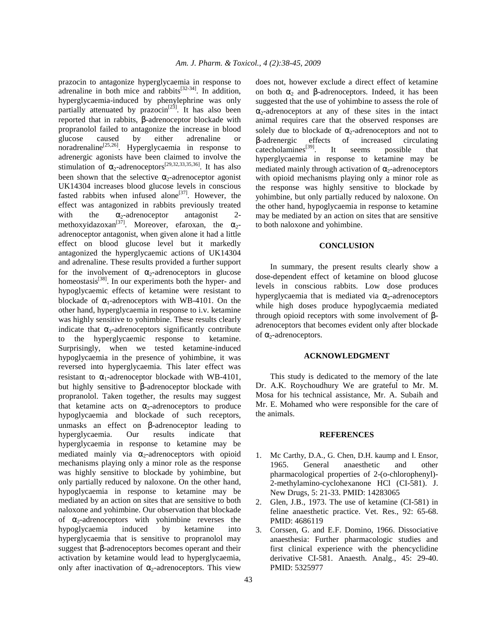prazocin to antagonize hyperglycaemia in response to adrenaline in both mice and rabbits $^{[32\text{-}34]}$ . In addition, hyperglycaemia-induced by phenylephrine was only partially attenuated by  $prazocin^{[23]}$ . It has also been reported that in rabbits, β-adrenoceptor blockade with propranolol failed to antagonize the increase in blood glucose caused by either adrenaline or noradrenaline<sup>[25,26]</sup>. Hyperglycaemia in response to adrenergic agonists have been claimed to involve the stimulation of  $\alpha_2$ -adrenoceptors<sup>[29,32,33,35,36]</sup>. It has also been shown that the selective  $\alpha_2$ -adrenoceptor agonist UK14304 increases blood glucose levels in conscious fasted rabbits when infused alone<sup>[37]</sup>. However, the effect was antagonized in rabbits previously treated with the  $\alpha_2$ -adrenoceptor antagonist methoxyidazoxan<sup>[37]</sup>. Moreover, efaroxan, the  $\alpha_2$ adrenoceptor antagonist, when given alone it had a little effect on blood glucose level but it markedly antagonized the hyperglycaemic actions of UK14304 and adrenaline. These results provided a further support for the involvement of  $\alpha_2$ -adrenoceptors in glucose homeostasis<sup>[38]</sup>. In our experiments both the hyper- and hypoglycaemic effects of ketamine were resistant to blockade of  $\alpha_1$ -adrenoceptors with WB-4101. On the other hand, hyperglycaemia in response to i.v. ketamine was highly sensitive to yohimbine. These results clearly indicate that  $\alpha_2$ -adrenoceptors significantly contribute to the hyperglycaemic response to ketamine. Surprisingly, when we tested ketamine-induced hypoglycaemia in the presence of yohimbine, it was reversed into hyperglycaemia. This later effect was resistant to  $\alpha_1$ -adrenoceptor blockade with WB-4101, but highly sensitive to β-adrenoceptor blockade with propranolol. Taken together, the results may suggest that ketamine acts on  $\alpha_2$ -adrenoceptors to produce hypoglycaemia and blockade of such receptors, unmasks an effect on β-adrenoceptor leading to hyperglycaemia. Our results indicate that hyperglycaemia in response to ketamine may be mediated mainly via  $\alpha_2$ -adrenoceptors with opioid mechanisms playing only a minor role as the response was highly sensitive to blockade by yohimbine, but only partially reduced by naloxone. On the other hand, hypoglycaemia in response to ketamine may be mediated by an action on sites that are sensitive to both naloxone and yohimbine. Our observation that blockade of  $\alpha_2$ -adrenoceptors with yohimbine reverses the hypoglycaemia induced by ketamine into hyperglycaemia that is sensitive to propranolol may suggest that β-adrenoceptors becomes operant and their activation by ketamine would lead to hyperglycaemia, only after inactivation of  $\alpha_2$ -adrenoceptors. This view

does not, however exclude a direct effect of ketamine on both  $\alpha_2$  and β-adrenoceptors. Indeed, it has been suggested that the use of yohimbine to assess the role of  $\alpha_2$ -adrenoceptors at any of these sites in the intact animal requires care that the observed responses are solely due to blockade of  $\alpha_2$ -adrenoceptors and not to β-adrenergic effects of increased circulating catecholamines<sup>[39]</sup>. It seems possible that hyperglycaemia in response to ketamine may be mediated mainly through activation of  $\alpha_2$ -adrenoceptors with opioid mechanisms playing only a minor role as the response was highly sensitive to blockade by yohimbine, but only partially reduced by naloxone. On the other hand, hypoglycaemia in response to ketamine may be mediated by an action on sites that are sensitive to both naloxone and yohimbine.

## **CONCLUSION**

 In summary, the present results clearly show a dose-dependent effect of ketamine on blood glucose levels in conscious rabbits. Low dose produces hyperglycaemia that is mediated via  $\alpha_2$ -adrenoceptors while high doses produce hypoglycaemia mediated through opioid receptors with some involvement of βadrenoceptors that becomes evident only after blockade of  $α_2$ -adrenoceptors.

#### **ACKNOWLEDGMENT**

 This study is dedicated to the memory of the late Dr. A.K. Roychoudhury We are grateful to Mr. M. Mosa for his technical assistance, Mr. A. Subaih and Mr. E. Mohamed who were responsible for the care of the animals.

#### **REFERENCES**

- 1. Mc Carthy, D.A., G. Chen, D.H. kaump and I. Ensor, 1965. General anaesthetic and other pharmacological properties of 2-(o-chlorophenyl)- 2-methylamino-cyclohexanone HCl (CI-581). J. New Drugs, 5: 21-33. PMID: 14283065
- 2. Glen, J.B., 1973. The use of ketamine (CI-581) in feline anaesthetic practice. Vet. Res., 92: 65-68. PMID: 4686119
- 3. Corssen, G. and E.F. Domino, 1966. Dissociative anaesthesia: Further pharmacologic studies and first clinical experience with the phencyclidine derivative CI-581. Anaesth. Analg., 45: 29-40. PMID: 5325977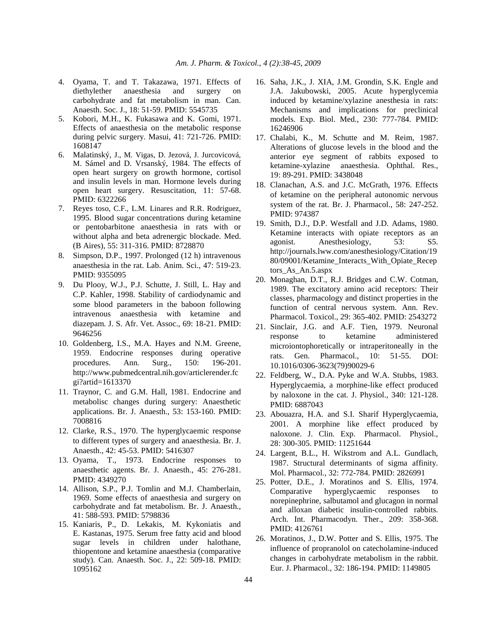- 4. Oyama, T. and T. Takazawa, 1971. Effects of diethylether anaesthesia and surgery on carbohydrate and fat metabolism in man. Can. Anaesth. Soc. J., 18: 51-59. PMID: 5545735
- 5. Kobori, M.H., K. Fukasawa and K. Gomi, 1971. Effects of anaesthesia on the metabolic response during pelvic surgery. Masui, 41: 721-726. PMID: 1608147
- 6. Malatinský, J., M. Vigas, D. Jezová, J. Jurcovicová, M. Sámel and D. Vrsanský, 1984. The effects of open heart surgery on growth hormone, cortisol and insulin levels in man. Hormone levels during open heart surgery. Resuscitation, 11: 57-68. PMID: 6322266
- 7. Reyes toso, C.F., L.M. Linares and R.R. Rodriguez, 1995. Blood sugar concentrations during ketamine or pentobarbitone anaesthesia in rats with or without alpha and beta adrenergic blockade. Med. (B Aires), 55: 311-316. PMID: 8728870
- 8. Simpson, D.P., 1997. Prolonged (12 h) intravenous anaesthesia in the rat. Lab. Anim. Sci., 47: 519-23. PMID: 9355095
- 9. Du Plooy, W.J., P.J. Schutte, J. Still, L. Hay and C.P. Kahler, 1998. Stability of cardiodynamic and some blood parameters in the baboon following intravenous anaesthesia with ketamine and diazepam. J. S. Afr. Vet. Assoc., 69: 18-21. PMID: 9646256
- 10. Goldenberg, I.S., M.A. Hayes and N.M. Greene, 1959. Endocrine responses during operative procedures. Ann. Surg., 150: 196-201. http://www.pubmedcentral.nih.gov/articlerender.fc gi?artid=1613370
- 11. Traynor, C. and G.M. Hall, 1981. Endocrine and metabolisc changes during surgery: Anaesthetic applications. Br. J. Anaesth., 53: 153-160. PMID: 7008816
- 12. Clarke, R.S., 1970. The hyperglycaemic response to different types of surgery and anaesthesia. Br. J. Anaesth., 42: 45-53. PMID: 5416307
- 13. Oyama, T., 1973. Endocrine responses to anaesthetic agents. Br. J. Anaesth., 45: 276-281. PMID: 4349270
- 14. Allison, S.P., P.J. Tomlin and M.J. Chamberlain, 1969. Some effects of anaesthesia and surgery on carbohydrate and fat metabolism. Br. J. Anaesth., 41: 588-593. PMID: 5798836
- 15. Kaniaris, P., D. Lekakis, M. Kykoniatis and E. Kastanas, 1975. Serum free fatty acid and blood sugar levels in children under halothane, thiopentone and ketamine anaesthesia (comparative study). Can. Anaesth. Soc. J., 22: 509-18. PMID: 1095162
- 16. Saha, J.K., J. XIA, J.M. Grondin, S.K. Engle and J.A. Jakubowski, 2005. Acute hyperglycemia induced by ketamine/xylazine anesthesia in rats: Mechanisms and implications for preclinical models. Exp. Biol. Med., 230: 777-784. PMID: 16246906
- 17. Chalabi, K., M. Schutte and M. Reim, 1987. Alterations of glucose levels in the blood and the anterior eye segment of rabbits exposed to ketamine-xylazine anaesthesia. Ophthal. Res., 19: 89-291. PMID: 3438048
- 18. Clanachan, A.S. and J.C. McGrath, 1976. Effects of ketamine on the peripheral autonomic nervous system of the rat. Br. J. Pharmacol., 58: 247-252. PMID: 974387
- 19. Smith, D.J., D.P. Westfall and J.D. Adams, 1980. Ketamine interacts with opiate receptors as an agonist. Anesthesiology, 53: S5. http://journals.lww.com/anesthesiology/Citation/19 80/09001/Ketamine\_Interacts\_With\_Opiate\_Recep tors As An.5.aspx
- 20. Monaghan, D.T., R.J. Bridges and C.W. Cotman, 1989. The excitatory amino acid receptors: Their classes, pharmacology and distinct properties in the function of central nervous system. Ann. Rev. Pharmacol. Toxicol., 29: 365-402. PMID: 2543272
- 21. Sinclair, J.G. and A.F. Tien, 1979. Neuronal response to ketamine administered microiontophoretically or intraperitoneally in the rats. Gen. Pharmacol., 10: 51-55. DOI: 10.1016/0306-3623(79)90029-6
- 22. Feldberg, W., D.A. Pyke and W.A. Stubbs, 1983. Hyperglycaemia, a morphine-like effect produced by naloxone in the cat. J. Physiol., 340: 121-128. PMID: 6887043
- 23. Abouazra, H.A. and S.I. Sharif Hyperglycaemia, 2001. A morphine like effect produced by naloxone. J. Clin. Exp. Pharmacol. Physiol., 28: 300-305. PMID: 11251644
- 24. Largent, B.L., H. Wikstrom and A.L. Gundlach, 1987. Structural determinants of sigma affinity. Mol. Pharmacol., 32: 772-784. PMID: 2826991
- 25. Potter, D.E., J. Moratinos and S. Ellis, 1974. Comparative hyperglycaemic responses to norepinephrine, salbutamol and glucagon in normal and alloxan diabetic insulin-controlled rabbits. Arch. Int. Pharmacodyn. Ther., 209: 358-368. PMID: 4126761
- 26. Moratinos, J., D.W. Potter and S. Ellis, 1975. The influence of propranolol on catecholamine-induced changes in carbohydrate metabolism in the rabbit. Eur. J. Pharmacol., 32: 186-194. PMID: 1149805